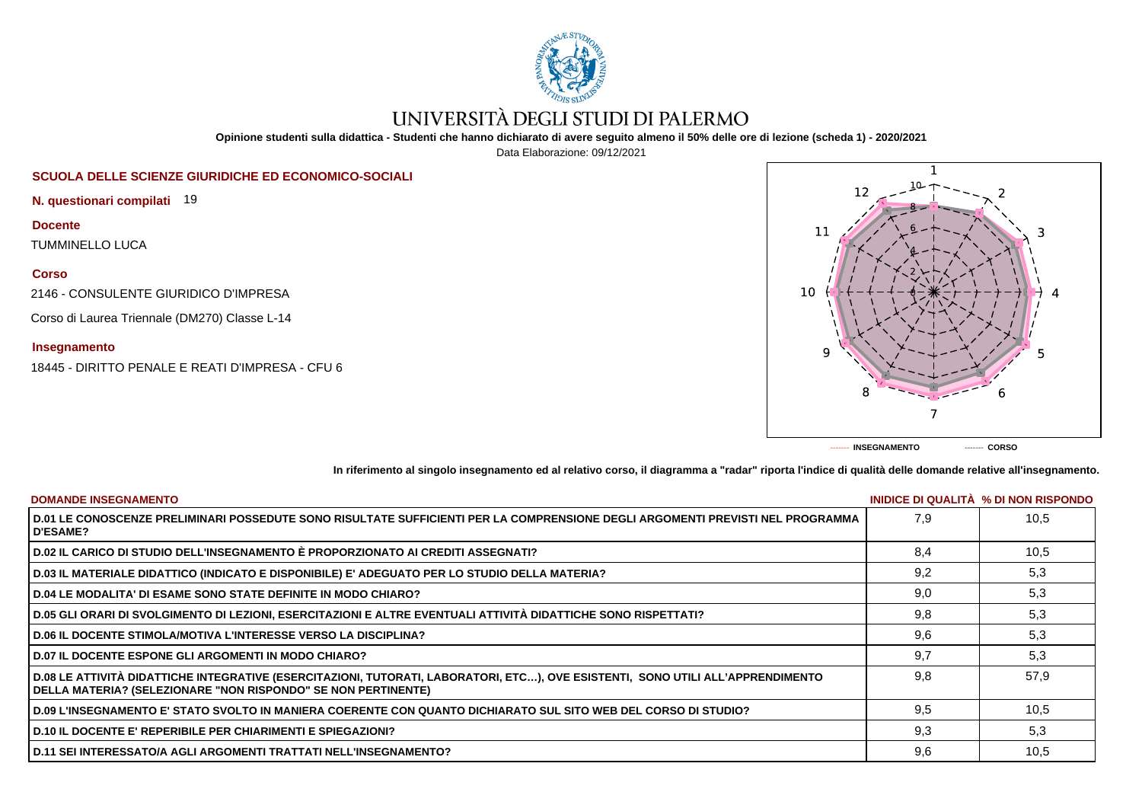

# UNIVERSITÀ DEGLI STUDI DI PALERMO

**Opinione studenti sulla didattica - Studenti che hanno dichiarato di avere seguito almeno il 50% delle ore di lezione (scheda 1) - 2020/2021**

Data Elaborazione: 09/12/2021

# **SCUOLA DELLE SCIENZE GIURIDICHE ED ECONOMICO-SOCIALI**

**N. questionari compilati** 19

**Docente**

TUMMINELLO LUCA

**Corso**

2146 - CONSULENTE GIURIDICO D'IMPRESA

Corso di Laurea Triennale (DM270) Classe L-14

## **Insegnamento**

18445 - DIRITTO PENALE E REATI D'IMPRESA - CFU 6



**In riferimento al singolo insegnamento ed al relativo corso, il diagramma a "radar" riporta l'indice di qualità delle domande relative all'insegnamento.**

| <b>DOMANDE INSEGNAMENTO</b>                                                                                                                                                                             |     | INIDICE DI QUALITA % DI NON RISPONDO |
|---------------------------------------------------------------------------------------------------------------------------------------------------------------------------------------------------------|-----|--------------------------------------|
| D.01 LE CONOSCENZE PRELIMINARI POSSEDUTE SONO RISULTATE SUFFICIENTI PER LA COMPRENSIONE DEGLI ARGOMENTI PREVISTI NEL PROGRAMMA<br><b>D'ESAME?</b>                                                       | 7.9 | 10.5                                 |
| D.02 IL CARICO DI STUDIO DELL'INSEGNAMENTO È PROPORZIONATO AI CREDITI ASSEGNATI?                                                                                                                        | 8.4 | 10,5                                 |
| D.03 IL MATERIALE DIDATTICO (INDICATO E DISPONIBILE) E' ADEGUATO PER LO STUDIO DELLA MATERIA?                                                                                                           | 9,2 | 5,3                                  |
| <b>D.04 LE MODALITA' DI ESAME SONO STATE DEFINITE IN MODO CHIARO?</b>                                                                                                                                   | 9,0 | 5,3                                  |
| D.05 GLI ORARI DI SVOLGIMENTO DI LEZIONI, ESERCITAZIONI E ALTRE EVENTUALI ATTIVITÀ DIDATTICHE SONO RISPETTATI?                                                                                          | 9,8 | 5,3                                  |
| <b>D.06 IL DOCENTE STIMOLA/MOTIVA L'INTERESSE VERSO LA DISCIPLINA?</b>                                                                                                                                  | 9.6 | 5,3                                  |
| <b>D.07 IL DOCENTE ESPONE GLI ARGOMENTI IN MODO CHIARO?</b>                                                                                                                                             | 9.7 | 5,3                                  |
| D.08 LE ATTIVITÀ DIDATTICHE INTEGRATIVE (ESERCITAZIONI, TUTORATI, LABORATORI, ETC), OVE ESISTENTI, SONO UTILI ALL'APPRENDIMENTO<br><b>DELLA MATERIA? (SELEZIONARE "NON RISPONDO" SE NON PERTINENTE)</b> | 9.8 | 57.9                                 |
| D.09 L'INSEGNAMENTO E' STATO SVOLTO IN MANIERA COERENTE CON QUANTO DICHIARATO SUL SITO WEB DEL CORSO DI STUDIO?                                                                                         | 9,5 | 10,5                                 |
| <b>D.10 IL DOCENTE E' REPERIBILE PER CHIARIMENTI E SPIEGAZIONI?</b>                                                                                                                                     | 9,3 | 5,3                                  |
| <b>D.11 SEI INTERESSATO/A AGLI ARGOMENTI TRATTATI NELL'INSEGNAMENTO?</b>                                                                                                                                | 9,6 | 10,5                                 |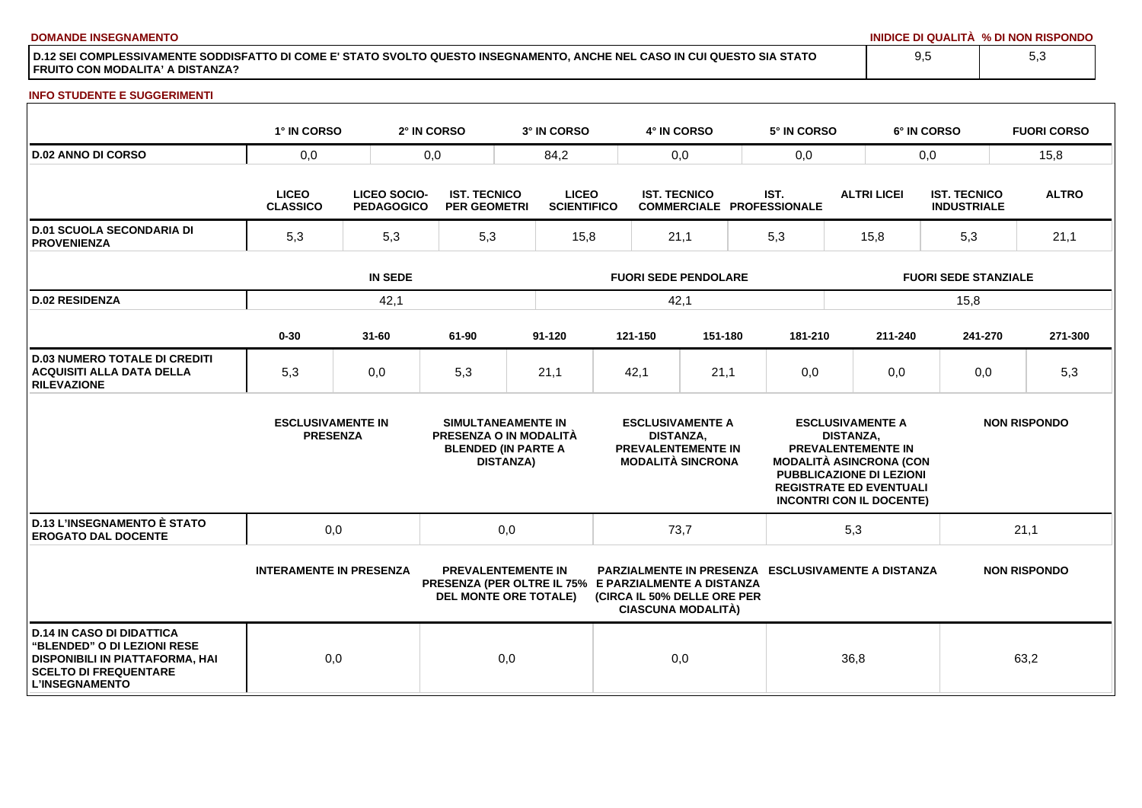**DOMANDE INSEGNAMENTO INIDICE DI QUALITÀ % DI NON RISPONDO**

**D.12 SEI COMPLESSIVAMENTE SODDISFATTO DI COME E' STATO SVOLTO QUESTO INSEGNAMENTO, ANCHE NEL CASO IN CUI QUESTO SIA STATO FRUITO CON MODALITA' A DISTANZA?**

### **INFO STUDENTE E SUGGERIMENTI**

|                                                                                                                                                                    | 1° IN CORSO                                 |                                          | 2° IN CORSO                                | 3° IN CORSO                                                                                                       |                             | 4° IN CORSO         |                                                                                  |     | 5° IN CORSO                                               |                             | 6° IN CORSO                                                                                                                                                                      |                                           |      | <b>FUORI CORSO</b>  |
|--------------------------------------------------------------------------------------------------------------------------------------------------------------------|---------------------------------------------|------------------------------------------|--------------------------------------------|-------------------------------------------------------------------------------------------------------------------|-----------------------------|---------------------|----------------------------------------------------------------------------------|-----|-----------------------------------------------------------|-----------------------------|----------------------------------------------------------------------------------------------------------------------------------------------------------------------------------|-------------------------------------------|------|---------------------|
| <b>D.02 ANNO DI CORSO</b>                                                                                                                                          | 0,0                                         |                                          | 0,0<br>84,2                                |                                                                                                                   |                             | 0,0                 |                                                                                  |     | 0,0                                                       |                             | 0,0                                                                                                                                                                              |                                           | 15,8 |                     |
|                                                                                                                                                                    | <b>LICEO</b><br><b>CLASSICO</b>             | <b>LICEO SOCIO-</b><br><b>PEDAGOGICO</b> | <b>IST. TECNICO</b><br><b>PER GEOMETRI</b> | <b>LICEO</b><br><b>SCIENTIFICO</b>                                                                                |                             | <b>IST. TECNICO</b> |                                                                                  |     | IST.<br><b>COMMERCIALE PROFESSIONALE</b>                  |                             | <b>ALTRI LICEI</b>                                                                                                                                                               | <b>IST. TECNICO</b><br><b>INDUSTRIALE</b> |      | <b>ALTRO</b>        |
| <b>D.01 SCUOLA SECONDARIA DI</b><br><b>PROVENIENZA</b>                                                                                                             | 5,3<br>5,3                                  |                                          | 5,3                                        | 15,8                                                                                                              | 21,1                        |                     |                                                                                  | 5,3 |                                                           | 15,8                        |                                                                                                                                                                                  | 5,3                                       |      | 21,1                |
|                                                                                                                                                                    | <b>IN SEDE</b>                              |                                          |                                            |                                                                                                                   | <b>FUORI SEDE PENDOLARE</b> |                     |                                                                                  |     |                                                           | <b>FUORI SEDE STANZIALE</b> |                                                                                                                                                                                  |                                           |      |                     |
| <b>D.02 RESIDENZA</b>                                                                                                                                              |                                             | 42,1                                     |                                            |                                                                                                                   | 42,1                        |                     |                                                                                  |     |                                                           | 15,8                        |                                                                                                                                                                                  |                                           |      |                     |
|                                                                                                                                                                    | $0 - 30$                                    | $31 - 60$                                | 61-90                                      | $91 - 120$                                                                                                        |                             | 121-150             | 151-180                                                                          |     | 181-210                                                   |                             | 211-240                                                                                                                                                                          | 241-270                                   |      | 271-300             |
| <b>D.03 NUMERO TOTALE DI CREDITI</b><br><b>ACQUISITI ALLA DATA DELLA</b><br><b>RILEVAZIONE</b>                                                                     | 5,3                                         | 0,0                                      | 5,3                                        | 21,1                                                                                                              |                             | 42,1                | 21,1                                                                             |     | 0,0                                                       |                             | 0,0                                                                                                                                                                              | 0,0                                       |      | 5,3                 |
|                                                                                                                                                                    | <b>ESCLUSIVAMENTE IN</b><br><b>PRESENZA</b> |                                          |                                            | SIMULTANEAMENTE IN<br>PRESENZA O IN MODALITÀ<br><b>BLENDED (IN PARTE A</b><br><b>DISTANZA)</b>                    |                             | <b>DISTANZA,</b>    | <b>ESCLUSIVAMENTE A</b><br><b>PREVALENTEMENTE IN</b><br><b>MODALITÀ SINCRONA</b> |     |                                                           | <b>DISTANZA.</b>            | <b>ESCLUSIVAMENTE A</b><br>PREVALENTEMENTE IN<br><b>MODALITÀ ASINCRONA (CON</b><br>PUBBLICAZIONE DI LEZIONI<br><b>REGISTRATE ED EVENTUALI</b><br><b>INCONTRI CON IL DOCENTE)</b> |                                           |      | <b>NON RISPONDO</b> |
| <b>D.13 L'INSEGNAMENTO È STATO</b><br><b>EROGATO DAL DOCENTE</b>                                                                                                   | 0,0                                         |                                          |                                            | 0,0                                                                                                               |                             | 73,7                |                                                                                  |     |                                                           | 5,3                         |                                                                                                                                                                                  |                                           | 21,1 |                     |
|                                                                                                                                                                    | <b>INTERAMENTE IN PRESENZA</b>              |                                          |                                            | <b>PREVALENTEMENTE IN</b><br>PRESENZA (PER OLTRE IL 75% E PARZIALMENTE A DISTANZA<br><b>DEL MONTE ORE TOTALE)</b> |                             |                     | (CIRCA IL 50% DELLE ORE PER<br><b>CIASCUNA MODALITÀ)</b>                         |     | <b>PARZIALMENTE IN PRESENZA ESCLUSIVAMENTE A DISTANZA</b> |                             |                                                                                                                                                                                  |                                           |      | <b>NON RISPONDO</b> |
| <b>D.14 IN CASO DI DIDATTICA</b><br><b>"BLENDED" O DI LEZIONI RESE</b><br>DISPONIBILI IN PIATTAFORMA, HAI<br><b>SCELTO DI FREQUENTARE</b><br><b>L'INSEGNAMENTO</b> | 0,0                                         |                                          |                                            | 0,0                                                                                                               |                             | 0,0                 |                                                                                  |     |                                                           | 36,8                        |                                                                                                                                                                                  |                                           | 63,2 |                     |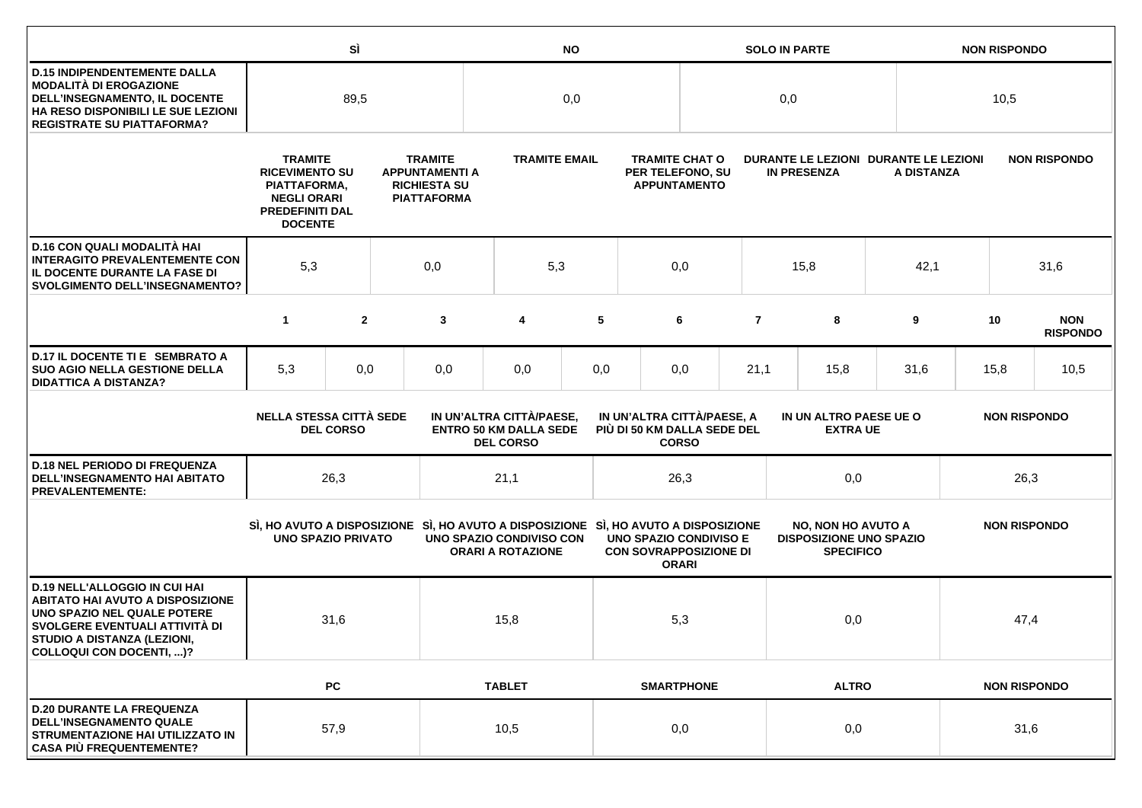|                                                                                                                                                                                                             |                                                                                                                                                                                                                   | SÌ               |            | <b>NO</b>                                                                                                       |                                                                               |                                                                  |  |                                                                                | <b>SOLO IN PARTE</b>                                        |                                                                                 |              |                     |      | <b>NON RISPONDO</b> |                               |  |      |  |  |
|-------------------------------------------------------------------------------------------------------------------------------------------------------------------------------------------------------------|-------------------------------------------------------------------------------------------------------------------------------------------------------------------------------------------------------------------|------------------|------------|-----------------------------------------------------------------------------------------------------------------|-------------------------------------------------------------------------------|------------------------------------------------------------------|--|--------------------------------------------------------------------------------|-------------------------------------------------------------|---------------------------------------------------------------------------------|--------------|---------------------|------|---------------------|-------------------------------|--|------|--|--|
| <b>D.15 INDIPENDENTEMENTE DALLA</b><br><b>MODALITÀ DI EROGAZIONE</b><br>DELL'INSEGNAMENTO, IL DOCENTE<br>HA RESO DISPONIBILI LE SUE LEZIONI<br><b>REGISTRATE SU PIATTAFORMA?</b>                            | 89,5                                                                                                                                                                                                              |                  |            |                                                                                                                 | 0,0                                                                           |                                                                  |  |                                                                                | 0,0                                                         |                                                                                 |              |                     | 10,5 |                     |                               |  |      |  |  |
|                                                                                                                                                                                                             | <b>TRAMITE</b><br><b>TRAMITE</b><br><b>RICEVIMENTO SU</b><br><b>APPUNTAMENTI A</b><br><b>RICHIESTA SU</b><br>PIATTAFORMA,<br><b>NEGLI ORARI</b><br><b>PIATTAFORMA</b><br><b>PREDEFINITI DAL</b><br><b>DOCENTE</b> |                  |            | <b>TRAMITE EMAIL</b>                                                                                            |                                                                               | <b>TRAMITE CHAT O</b><br>PER TELEFONO, SU<br><b>APPUNTAMENTO</b> |  |                                                                                | DURANTE LE LEZIONI DURANTE LE LEZIONI<br><b>IN PRESENZA</b> |                                                                                 | A DISTANZA   |                     |      | <b>NON RISPONDO</b> |                               |  |      |  |  |
| D.16 CON QUALI MODALITÀ HAI<br><b>INTERAGITO PREVALENTEMENTE CON</b><br>IL DOCENTE DURANTE LA FASE DI<br><b>SVOLGIMENTO DELL'INSEGNAMENTO?</b>                                                              | 5,3                                                                                                                                                                                                               |                  | 0,0<br>5,3 |                                                                                                                 |                                                                               | 0,0                                                              |  |                                                                                | 15,8                                                        |                                                                                 | 42,1         |                     | 31,6 |                     |                               |  |      |  |  |
|                                                                                                                                                                                                             | $\mathbf{1}$                                                                                                                                                                                                      | $\overline{2}$   |            | 3                                                                                                               | 4                                                                             | 5                                                                |  | 6                                                                              | $\overline{7}$                                              |                                                                                 | 8            | 9                   |      | 10                  | <b>NON</b><br><b>RISPONDO</b> |  |      |  |  |
| D.17 IL DOCENTE TI E SEMBRATO A<br><b>SUO AGIO NELLA GESTIONE DELLA</b><br><b>DIDATTICA A DISTANZA?</b>                                                                                                     | 5,3                                                                                                                                                                                                               | 0,0              |            | 0,0                                                                                                             | 0,0                                                                           | 0,0                                                              |  | 0,0                                                                            | 21,1                                                        | 15,8                                                                            |              | 31,6                |      | 15,8                | 10,5                          |  |      |  |  |
|                                                                                                                                                                                                             | <b>NELLA STESSA CITTÀ SEDE</b>                                                                                                                                                                                    | <b>DEL CORSO</b> |            |                                                                                                                 | IN UN'ALTRA CITTÀ/PAESE,<br><b>ENTRO 50 KM DALLA SEDE</b><br><b>DEL CORSO</b> |                                                                  |  | IN UN'ALTRA CITTÀ/PAESE, A<br>PIÙ DI 50 KM DALLA SEDE DEL<br><b>CORSO</b>      |                                                             | IN UN ALTRO PAESE UE O<br><b>EXTRA UE</b>                                       |              |                     |      | <b>NON RISPONDO</b> |                               |  |      |  |  |
| <b>D.18 NEL PERIODO DI FREQUENZA</b><br><b>DELL'INSEGNAMENTO HAI ABITATO</b><br><b>PREVALENTEMENTE:</b>                                                                                                     |                                                                                                                                                                                                                   | 26,3             |            |                                                                                                                 | 21,1                                                                          |                                                                  |  | 26,3                                                                           |                                                             | 0,0                                                                             |              | 26,3                |      |                     |                               |  |      |  |  |
|                                                                                                                                                                                                             | <b>UNO SPAZIO PRIVATO</b>                                                                                                                                                                                         |                  |            | SI, HO AVUTO A DISPOSIZIONE SI, HO AVUTO A DISPOSIZIONE SI, HO AVUTO A DISPOSIZIONE<br>UNO SPAZIO CONDIVISO CON | <b>ORARI A ROTAZIONE</b>                                                      |                                                                  |  | <b>UNO SPAZIO CONDIVISO E</b><br><b>CON SOVRAPPOSIZIONE DI</b><br><b>ORARI</b> |                                                             | <b>NO, NON HO AVUTO A</b><br><b>DISPOSIZIONE UNO SPAZIO</b><br><b>SPECIFICO</b> |              | <b>NON RISPONDO</b> |      |                     |                               |  |      |  |  |
| <b>D.19 NELL'ALLOGGIO IN CUI HAI</b><br><b>ABITATO HAI AVUTO A DISPOSIZIONE</b><br>UNO SPAZIO NEL QUALE POTERE<br>SVOLGERE EVENTUALI ATTIVITÀ DI<br>STUDIO A DISTANZA (LEZIONI,<br>COLLOQUI CON DOCENTI, )? |                                                                                                                                                                                                                   | 31,6             |            |                                                                                                                 | 15,8                                                                          |                                                                  |  |                                                                                | 5,3                                                         |                                                                                 | 0,0          |                     |      |                     |                               |  | 47,4 |  |  |
|                                                                                                                                                                                                             |                                                                                                                                                                                                                   | <b>PC</b>        |            |                                                                                                                 | <b>TABLET</b>                                                                 |                                                                  |  | <b>SMARTPHONE</b>                                                              |                                                             |                                                                                 | <b>ALTRO</b> |                     |      | <b>NON RISPONDO</b> |                               |  |      |  |  |
| <b>D.20 DURANTE LA FREQUENZA</b><br><b>DELL'INSEGNAMENTO QUALE</b><br>STRUMENTAZIONE HAI UTILIZZATO IN<br><b>CASA PIÙ FREQUENTEMENTE?</b>                                                                   |                                                                                                                                                                                                                   | 57,9             |            |                                                                                                                 | 10,5                                                                          |                                                                  |  | 0,0                                                                            |                                                             | 0,0                                                                             |              | 31,6                |      |                     |                               |  |      |  |  |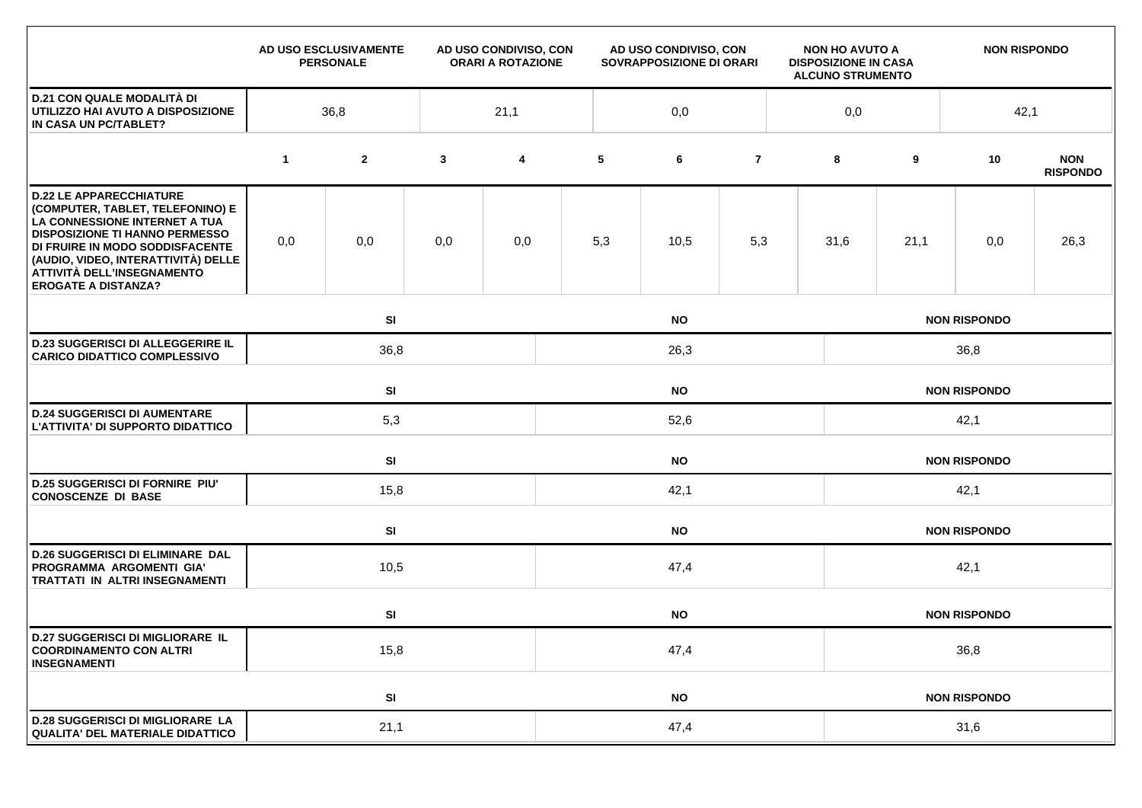|                                                                                                                                                                                                                                                                                    |             | AD USO ESCLUSIVAMENTE<br><b>PERSONALE</b> |              | AD USO CONDIVISO, CON<br><b>ORARI A ROTAZIONE</b> | AD USO CONDIVISO, CON<br>SOVRAPPOSIZIONE DI ORARI |           |                | <b>NON HO AVUTO A</b><br><b>DISPOSIZIONE IN CASA</b><br><b>ALCUNO STRUMENTO</b> |                     | <b>NON RISPONDO</b> |                     |                               |  |  |  |
|------------------------------------------------------------------------------------------------------------------------------------------------------------------------------------------------------------------------------------------------------------------------------------|-------------|-------------------------------------------|--------------|---------------------------------------------------|---------------------------------------------------|-----------|----------------|---------------------------------------------------------------------------------|---------------------|---------------------|---------------------|-------------------------------|--|--|--|
| <b>D.21 CON QUALE MODALITÀ DI</b><br>UTILIZZO HAI AVUTO A DISPOSIZIONE<br>IN CASA UN PC/TABLET?                                                                                                                                                                                    | 36,8        |                                           |              | 21,1                                              | 0,0                                               |           |                |                                                                                 |                     |                     |                     | 42,1                          |  |  |  |
|                                                                                                                                                                                                                                                                                    | $\mathbf 1$ | $\mathbf{2}$                              | $\mathbf{3}$ | 4                                                 | 5                                                 | 6         | $\overline{7}$ |                                                                                 | 8                   | 9                   | 10                  | <b>NON</b><br><b>RISPONDO</b> |  |  |  |
| <b>D.22 LE APPARECCHIATURE</b><br>(COMPUTER, TABLET, TELEFONINO) E<br>LA CONNESSIONE INTERNET A TUA<br><b>DISPOSIZIONE TI HANNO PERMESSO</b><br>DI FRUIRE IN MODO SODDISFACENTE<br>(AUDIO, VIDEO, INTERATTIVITÀ) DELLE<br>ATTIVITÀ DELL'INSEGNAMENTO<br><b>EROGATE A DISTANZA?</b> | 0,0         | 0,0                                       | 0,0          | 0,0                                               | 5,3                                               | 10,5      | 5,3            |                                                                                 | 31,6                | 21,1                | 0,0                 | 26,3                          |  |  |  |
|                                                                                                                                                                                                                                                                                    |             | SI<br><b>NO</b>                           |              |                                                   |                                                   |           |                |                                                                                 | <b>NON RISPONDO</b> |                     |                     |                               |  |  |  |
| <b>D.23 SUGGERISCI DI ALLEGGERIRE IL</b><br><b>CARICO DIDATTICO COMPLESSIVO</b>                                                                                                                                                                                                    |             | 36,8<br>26,3                              |              |                                                   |                                                   |           |                |                                                                                 | 36,8                |                     |                     |                               |  |  |  |
|                                                                                                                                                                                                                                                                                    |             | SI<br><b>NO</b>                           |              |                                                   |                                                   |           |                |                                                                                 | <b>NON RISPONDO</b> |                     |                     |                               |  |  |  |
| <b>D.24 SUGGERISCI DI AUMENTARE</b><br>L'ATTIVITA' DI SUPPORTO DIDATTICO                                                                                                                                                                                                           |             | 5,3                                       |              |                                                   | 52,6                                              |           |                |                                                                                 |                     | 42,1                |                     |                               |  |  |  |
|                                                                                                                                                                                                                                                                                    |             | <b>SI</b>                                 |              | <b>NO</b>                                         |                                                   |           |                |                                                                                 |                     | <b>NON RISPONDO</b> |                     |                               |  |  |  |
| <b>D.25 SUGGERISCI DI FORNIRE PIU'</b><br><b>CONOSCENZE DI BASE</b>                                                                                                                                                                                                                |             | 15,8                                      |              |                                                   | 42,1                                              |           |                |                                                                                 |                     | 42,1                |                     |                               |  |  |  |
|                                                                                                                                                                                                                                                                                    |             | SI                                        |              |                                                   | <b>NO</b>                                         |           |                |                                                                                 |                     |                     | <b>NON RISPONDO</b> |                               |  |  |  |
| <b>D.26 SUGGERISCI DI ELIMINARE DAL</b><br>PROGRAMMA ARGOMENTI GIA'<br>TRATTATI IN ALTRI INSEGNAMENTI                                                                                                                                                                              |             |                                           | 10,5<br>47,4 |                                                   |                                                   |           |                |                                                                                 | 42,1                |                     |                     |                               |  |  |  |
|                                                                                                                                                                                                                                                                                    |             | SI                                        |              |                                                   |                                                   | <b>NO</b> |                |                                                                                 |                     |                     | <b>NON RISPONDO</b> |                               |  |  |  |
| <b>D.27 SUGGERISCI DI MIGLIORARE IL</b><br><b>COORDINAMENTO CON ALTRI</b><br><b>INSEGNAMENTI</b>                                                                                                                                                                                   |             | 15,8                                      |              |                                                   | 47,4                                              |           |                |                                                                                 |                     | 36,8                |                     |                               |  |  |  |
|                                                                                                                                                                                                                                                                                    |             | SI                                        |              |                                                   |                                                   | <b>NO</b> |                |                                                                                 |                     |                     | <b>NON RISPONDO</b> |                               |  |  |  |
| <b>D.28 SUGGERISCI DI MIGLIORARE LA</b><br><b>QUALITA' DEL MATERIALE DIDATTICO</b>                                                                                                                                                                                                 |             | 21,1                                      |              |                                                   | 47,4                                              |           |                |                                                                                 |                     | 31,6                |                     |                               |  |  |  |